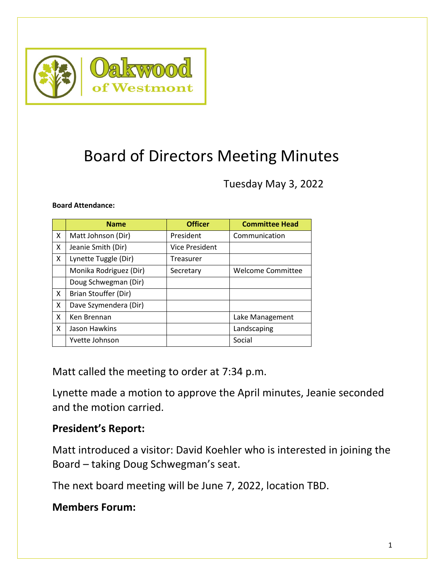

# Board of Directors Meeting Minutes

Tuesday May 3, 2022

#### **Board Attendance:**

|              | <b>Name</b>            | <b>Officer</b>        | <b>Committee Head</b>    |
|--------------|------------------------|-----------------------|--------------------------|
| X            | Matt Johnson (Dir)     | President             | Communication            |
| X            | Jeanie Smith (Dir)     | <b>Vice President</b> |                          |
| X            | Lynette Tuggle (Dir)   | Treasurer             |                          |
|              | Monika Rodriguez (Dir) | Secretary             | <b>Welcome Committee</b> |
|              | Doug Schwegman (Dir)   |                       |                          |
| $\mathsf{x}$ | Brian Stouffer (Dir)   |                       |                          |
| X            | Dave Szymendera (Dir)  |                       |                          |
| X            | Ken Brennan            |                       | Lake Management          |
| X            | Jason Hawkins          |                       | Landscaping              |
|              | Yvette Johnson         |                       | Social                   |

Matt called the meeting to order at 7:34 p.m.

Lynette made a motion to approve the April minutes, Jeanie seconded and the motion carried.

#### **President's Report:**

Matt introduced a visitor: David Koehler who is interested in joining the Board – taking Doug Schwegman's seat.

The next board meeting will be June 7, 2022, location TBD.

### **Members Forum:**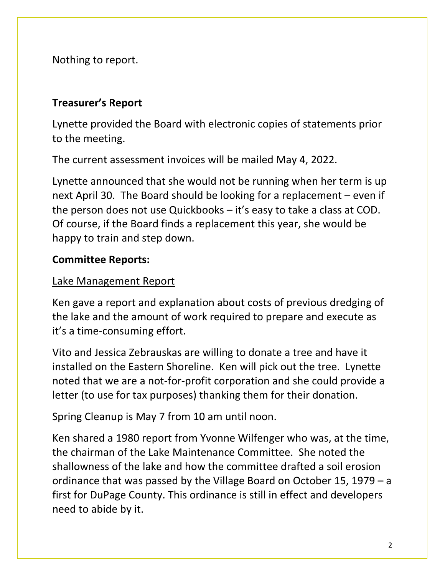Nothing to report.

# **Treasurer's Report**

Lynette provided the Board with electronic copies of statements prior to the meeting.

The current assessment invoices will be mailed May 4, 2022.

Lynette announced that she would not be running when her term is up next April 30. The Board should be looking for a replacement – even if the person does not use Quickbooks – it's easy to take a class at COD. Of course, if the Board finds a replacement this year, she would be happy to train and step down.

# **Committee Reports:**

# Lake Management Report

Ken gave a report and explanation about costs of previous dredging of the lake and the amount of work required to prepare and execute as it's a time-consuming effort.

Vito and Jessica Zebrauskas are willing to donate a tree and have it installed on the Eastern Shoreline. Ken will pick out the tree. Lynette noted that we are a not-for-profit corporation and she could provide a letter (to use for tax purposes) thanking them for their donation.

Spring Cleanup is May 7 from 10 am until noon.

Ken shared a 1980 report from Yvonne Wilfenger who was, at the time, the chairman of the Lake Maintenance Committee. She noted the shallowness of the lake and how the committee drafted a soil erosion ordinance that was passed by the Village Board on October 15, 1979 – a first for DuPage County. This ordinance is still in effect and developers need to abide by it.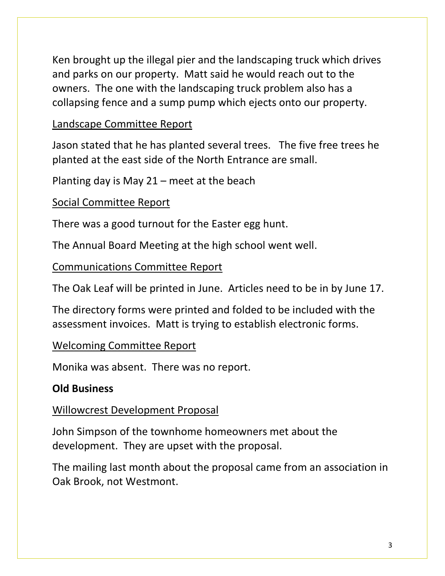Ken brought up the illegal pier and the landscaping truck which drives and parks on our property. Matt said he would reach out to the owners. The one with the landscaping truck problem also has a collapsing fence and a sump pump which ejects onto our property.

### Landscape Committee Report

Jason stated that he has planted several trees. The five free trees he planted at the east side of the North Entrance are small.

Planting day is May 21 – meet at the beach

### Social Committee Report

There was a good turnout for the Easter egg hunt.

The Annual Board Meeting at the high school went well.

Communications Committee Report

The Oak Leaf will be printed in June. Articles need to be in by June 17.

The directory forms were printed and folded to be included with the assessment invoices. Matt is trying to establish electronic forms.

#### Welcoming Committee Report

Monika was absent. There was no report.

# **Old Business**

#### Willowcrest Development Proposal

John Simpson of the townhome homeowners met about the development. They are upset with the proposal.

The mailing last month about the proposal came from an association in Oak Brook, not Westmont.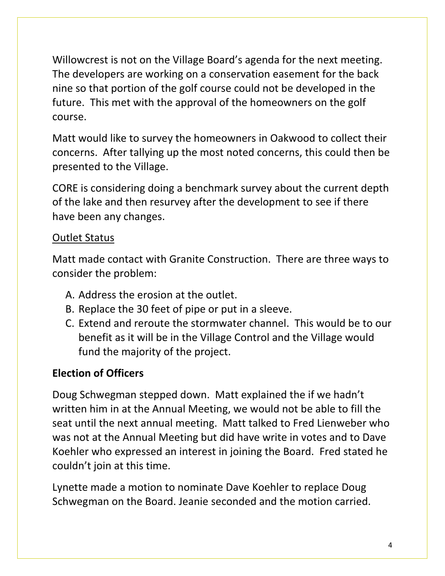Willowcrest is not on the Village Board's agenda for the next meeting. The developers are working on a conservation easement for the back nine so that portion of the golf course could not be developed in the future. This met with the approval of the homeowners on the golf course.

Matt would like to survey the homeowners in Oakwood to collect their concerns. After tallying up the most noted concerns, this could then be presented to the Village.

CORE is considering doing a benchmark survey about the current depth of the lake and then resurvey after the development to see if there have been any changes.

# Outlet Status

Matt made contact with Granite Construction. There are three ways to consider the problem:

- A. Address the erosion at the outlet.
- B. Replace the 30 feet of pipe or put in a sleeve.
- C. Extend and reroute the stormwater channel. This would be to our benefit as it will be in the Village Control and the Village would fund the majority of the project.

# **Election of Officers**

Doug Schwegman stepped down. Matt explained the if we hadn't written him in at the Annual Meeting, we would not be able to fill the seat until the next annual meeting. Matt talked to Fred Lienweber who was not at the Annual Meeting but did have write in votes and to Dave Koehler who expressed an interest in joining the Board. Fred stated he couldn't join at this time.

Lynette made a motion to nominate Dave Koehler to replace Doug Schwegman on the Board. Jeanie seconded and the motion carried.